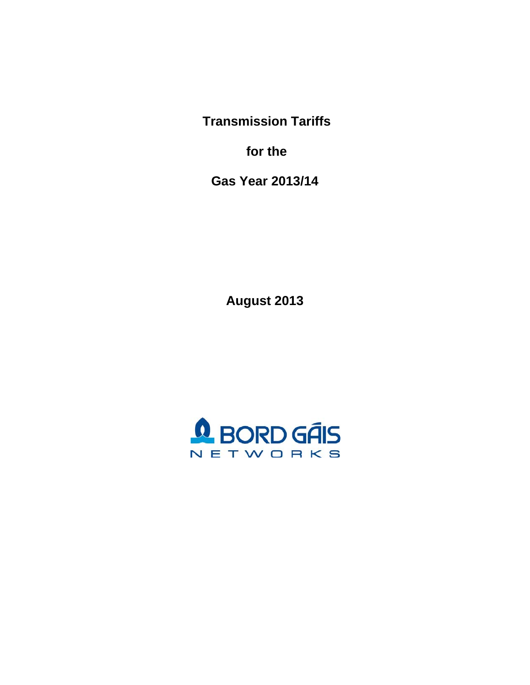**Transmission Tariffs** 

 **for the** 

**Gas Year 2013/14** 

**August 2013** 

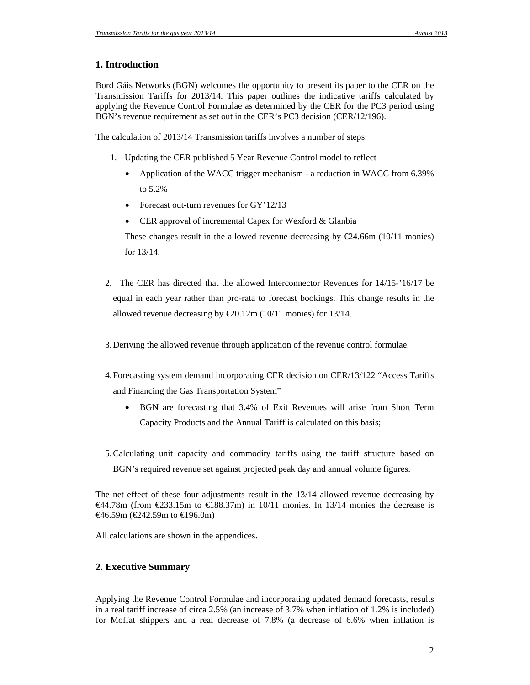# **1. Introduction**

Bord Gáis Networks (BGN) welcomes the opportunity to present its paper to the CER on the Transmission Tariffs for 2013/14. This paper outlines the indicative tariffs calculated by applying the Revenue Control Formulae as determined by the CER for the PC3 period using BGN's revenue requirement as set out in the CER's PC3 decision (CER/12/196).

The calculation of 2013/14 Transmission tariffs involves a number of steps:

- 1. Updating the CER published 5 Year Revenue Control model to reflect
	- Application of the WACC trigger mechanism a reduction in WACC from 6.39% to 5.2%
	- Forecast out-turn revenues for GY'12/13
	- CER approval of incremental Capex for Wexford & Glanbia

These changes result in the allowed revenue decreasing by  $\epsilon$ 24.66m (10/11 monies) for 13/14.

- 2. The CER has directed that the allowed Interconnector Revenues for 14/15-'16/17 be equal in each year rather than pro-rata to forecast bookings. This change results in the allowed revenue decreasing by  $\text{\textsterling}0.12m$  (10/11 monies) for 13/14.
- 3.Deriving the allowed revenue through application of the revenue control formulae.
- 4.Forecasting system demand incorporating CER decision on CER/13/122 "Access Tariffs and Financing the Gas Transportation System"
	- BGN are forecasting that 3.4% of Exit Revenues will arise from Short Term Capacity Products and the Annual Tariff is calculated on this basis;
- 5.Calculating unit capacity and commodity tariffs using the tariff structure based on BGN's required revenue set against projected peak day and annual volume figures.

The net effect of these four adjustments result in the 13/14 allowed revenue decreasing by  $\leftarrow$  44.78m (from  $\leftarrow$  233.15m to  $\leftarrow$  88.37m) in 10/11 monies. In 13/14 monies the decrease is €46.59m (€242.59m to €196.0m)

All calculations are shown in the appendices.

# **2. Executive Summary**

Applying the Revenue Control Formulae and incorporating updated demand forecasts, results in a real tariff increase of circa 2.5% (an increase of 3.7% when inflation of 1.2% is included) for Moffat shippers and a real decrease of 7.8% (a decrease of 6.6% when inflation is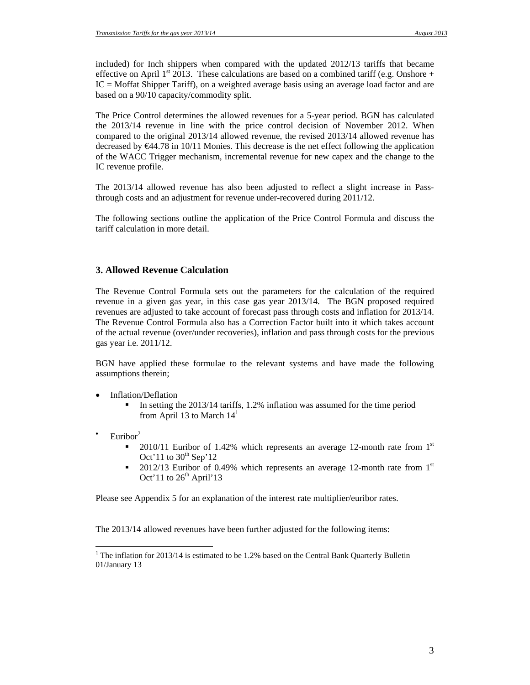included) for Inch shippers when compared with the updated 2012/13 tariffs that became effective on April 1<sup>st</sup> 2013. These calculations are based on a combined tariff (e.g. Onshore + IC = Moffat Shipper Tariff), on a weighted average basis using an average load factor and are based on a 90/10 capacity/commodity split.

The Price Control determines the allowed revenues for a 5-year period. BGN has calculated the 2013/14 revenue in line with the price control decision of November 2012. When compared to the original 2013/14 allowed revenue, the revised 2013/14 allowed revenue has decreased by €44.78 in 10/11 Monies. This decrease is the net effect following the application of the WACC Trigger mechanism, incremental revenue for new capex and the change to the IC revenue profile.

The 2013/14 allowed revenue has also been adjusted to reflect a slight increase in Passthrough costs and an adjustment for revenue under-recovered during 2011/12.

The following sections outline the application of the Price Control Formula and discuss the tariff calculation in more detail.

## **3. Allowed Revenue Calculation**

The Revenue Control Formula sets out the parameters for the calculation of the required revenue in a given gas year, in this case gas year 2013/14. The BGN proposed required revenues are adjusted to take account of forecast pass through costs and inflation for 2013/14. The Revenue Control Formula also has a Correction Factor built into it which takes account of the actual revenue (over/under recoveries), inflation and pass through costs for the previous gas year i.e. 2011/12.

BGN have applied these formulae to the relevant systems and have made the following assumptions therein;

- Inflation/Deflation
	- In setting the  $2013/14$  tariffs, 1.2% inflation was assumed for the time period from April 13 to March  $14<sup>1</sup>$
- Euribor $2$

 $\overline{a}$ 

- 2010/11 Euribor of 1.42% which represents an average 12-month rate from  $1<sup>st</sup>$ Oct'11 to  $30<sup>th</sup>$  Sep'12
- 2012/13 Euribor of 0.49% which represents an average 12-month rate from  $1<sup>st</sup>$ Oct' 11 to  $26<sup>th</sup>$  April' 13

Please see Appendix 5 for an explanation of the interest rate multiplier/euribor rates.

The 2013/14 allowed revenues have been further adjusted for the following items:

<sup>&</sup>lt;sup>1</sup> The inflation for 2013/14 is estimated to be 1.2% based on the Central Bank Quarterly Bulletin 01/January 13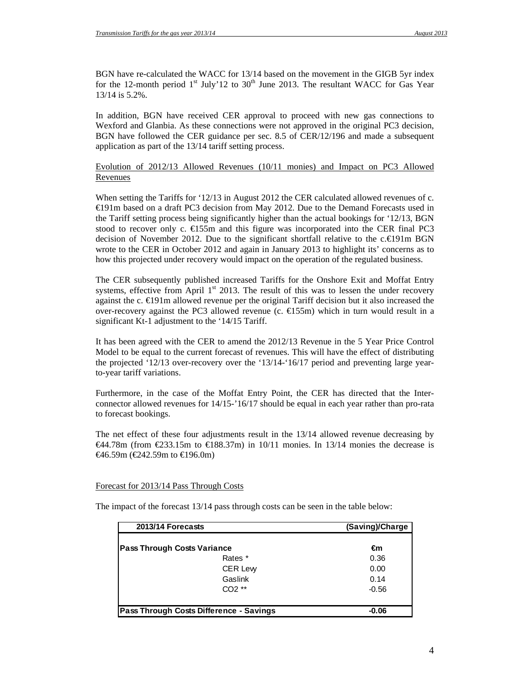BGN have re-calculated the WACC for 13/14 based on the movement in the GIGB 5yr index for the 12-month period  $1<sup>st</sup>$  July'12 to 30<sup>th</sup> June 2013. The resultant WACC for Gas Year 13/14 is 5.2%.

In addition, BGN have received CER approval to proceed with new gas connections to Wexford and Glanbia. As these connections were not approved in the original PC3 decision, BGN have followed the CER guidance per sec. 8.5 of CER/12/196 and made a subsequent application as part of the 13/14 tariff setting process.

## Evolution of 2012/13 Allowed Revenues (10/11 monies) and Impact on PC3 Allowed Revenues

When setting the Tariffs for '12/13 in August 2012 the CER calculated allowed revenues of c. €191m based on a draft PC3 decision from May 2012. Due to the Demand Forecasts used in the Tariff setting process being significantly higher than the actual bookings for '12/13, BGN stood to recover only c.  $\epsilon$ 155m and this figure was incorporated into the CER final PC3 decision of November 2012. Due to the significant shortfall relative to the c. $\epsilon\approx 91$ m BGN wrote to the CER in October 2012 and again in January 2013 to highlight its' concerns as to how this projected under recovery would impact on the operation of the regulated business.

The CER subsequently published increased Tariffs for the Onshore Exit and Moffat Entry systems, effective from April  $1<sup>st</sup>$  2013. The result of this was to lessen the under recovery against the c.  $\bigoplus$ 91m allowed revenue per the original Tariff decision but it also increased the over-recovery against the PC3 allowed revenue (c.  $\epsilon$ 155m) which in turn would result in a significant Kt-1 adjustment to the '14/15 Tariff.

It has been agreed with the CER to amend the 2012/13 Revenue in the 5 Year Price Control Model to be equal to the current forecast of revenues. This will have the effect of distributing the projected '12/13 over-recovery over the '13/14-'16/17 period and preventing large yearto-year tariff variations.

Furthermore, in the case of the Moffat Entry Point, the CER has directed that the Interconnector allowed revenues for 14/15-'16/17 should be equal in each year rather than pro-rata to forecast bookings.

The net effect of these four adjustments result in the 13/14 allowed revenue decreasing by  $€44.78m$  (from  $€233.15m$  to  $€188.37m$ ) in 10/11 monies. In 13/14 monies the decrease is  $\Theta$ 6.59m ( $\Theta$ 42.59m to  $\Theta$ 96.0m)

### Forecast for 2013/14 Pass Through Costs

The impact of the forecast 13/14 pass through costs can be seen in the table below:

| 2013/14 Forecasts                       | (Saving)/Charge |
|-----------------------------------------|-----------------|
|                                         |                 |
| <b>Pass Through Costs Variance</b>      | €m              |
| Rates *                                 | 0.36            |
| <b>CER Lew</b>                          | 0.00            |
| Gaslink                                 | 0.14            |
| $CO2**$                                 | $-0.56$         |
|                                         |                 |
| Pass Through Costs Difference - Savings | $-0.06$         |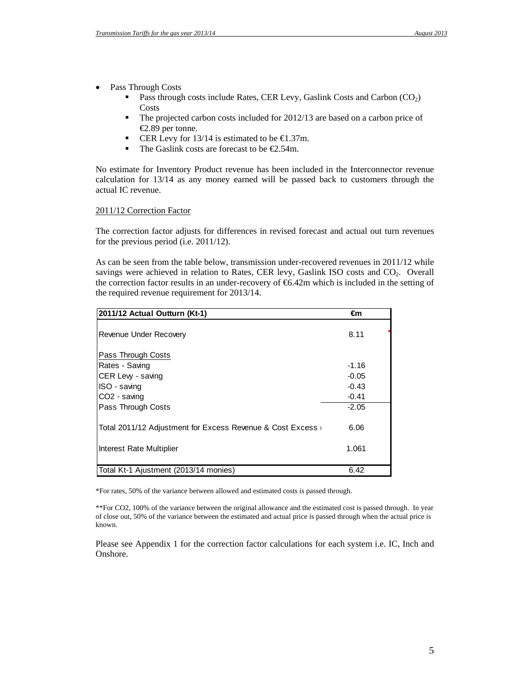- Pass Through Costs
	- **Pass through costs include Rates, CER Levy, Gaslink Costs and Carbon**  $(CO_2)$ Costs
	- The projected carbon costs included for 2012/13 are based on a carbon price of €2.89 per tonne.
	- CER Levy for 13/14 is estimated to be  $€1.37m$ .
	- The Gaslink costs are forecast to be  $\epsilon$ 2.54m.

No estimate for Inventory Product revenue has been included in the Interconnector revenue calculation for 13/14 as any money earned will be passed back to customers through the actual IC revenue.

#### 2011/12 Correction Factor

The correction factor adjusts for differences in revised forecast and actual out turn revenues for the previous period (i.e. 2011/12).

As can be seen from the table below, transmission under-recovered revenues in 2011/12 while savings were achieved in relation to Rates, CER levy, Gaslink ISO costs and CO<sub>2</sub>. Overall the correction factor results in an under-recovery of  $\epsilon$ 6.42m which is included in the setting of the required revenue requirement for 2013/14.

| 2011/12 Actual Outturn (Kt-1)                             | €m      |  |
|-----------------------------------------------------------|---------|--|
| Revenue Under Recovery                                    | 8.11    |  |
| Pass Through Costs                                        |         |  |
| Rates - Saving                                            | $-1.16$ |  |
| CER Lew - saving                                          | $-0.05$ |  |
| ISO - saving                                              | $-0.43$ |  |
| CO <sub>2</sub> - saving                                  | $-0.41$ |  |
| Pass Through Costs                                        | $-2.05$ |  |
| Total 2011/12 Adjustment for Excess Revenue & Cost Excess | 6.06    |  |
| Interest Rate Multiplier                                  | 1.061   |  |
| Total Kt-1 Ajustment (2013/14 monies)                     | 6.42    |  |

\*For rates, 50% of the variance between allowed and estimated costs is passed through.

\*\*For CO2, 100% of the variance between the original allowance and the estimated cost is passed through. In year of close out, 50% of the variance between the estimated and actual price is passed through when the actual price is known.

Please see Appendix 1 for the correction factor calculations for each system i.e. IC, Inch and Onshore.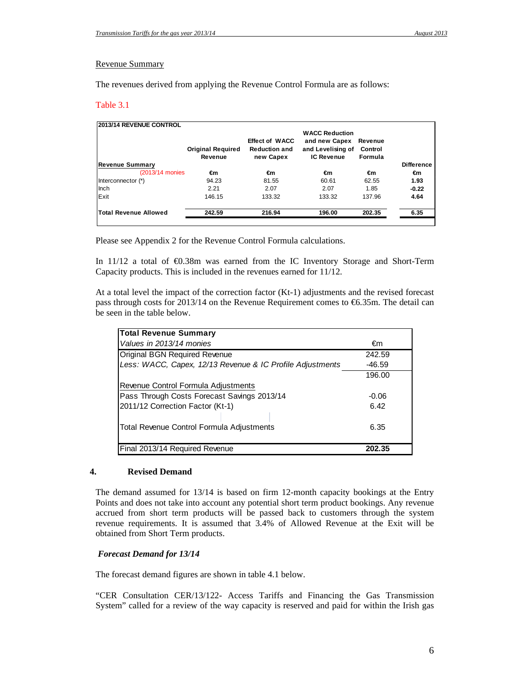#### Revenue Summary

The revenues derived from applying the Revenue Control Formula are as follows:

#### Table 3.1

| <b>2013/14 REVENUE CONTROL</b> | <b>Original Required</b><br>Revenue | <b>Effect of WACC</b><br><b>Reduction and</b><br>new Capex | <b>WACC Reduction</b><br>and new Capex<br>and Levelising of<br><b>IC Revenue</b> | Revenue<br>Control<br>Formula |                   |
|--------------------------------|-------------------------------------|------------------------------------------------------------|----------------------------------------------------------------------------------|-------------------------------|-------------------|
| <b>Revenue Summary</b>         |                                     |                                                            |                                                                                  |                               | <b>Difference</b> |
| (2013/14 monies)               | €m                                  | €m                                                         | €m                                                                               | €m                            | €m                |
| Interconnector (*)             | 94.23                               | 81.55                                                      | 60.61                                                                            | 62.55                         | 1.93              |
| Inch                           | 2.21                                | 2.07                                                       | 2.07                                                                             | 1.85                          | $-0.22$           |
| Exit                           | 146.15                              | 133.32                                                     | 133.32                                                                           | 137.96                        | 4.64              |
| <b>Total Revenue Allowed</b>   | 242.59                              | 216.94                                                     | 196.00                                                                           | 202.35                        | 6.35              |

Please see Appendix 2 for the Revenue Control Formula calculations.

In 11/12 a total of €0.38m was earned from the IC Inventory Storage and Short-Term Capacity products. This is included in the revenues earned for 11/12.

At a total level the impact of the correction factor (Kt-1) adjustments and the revised forecast pass through costs for 2013/14 on the Revenue Requirement comes to  $\epsilon$ 6.35m. The detail can be seen in the table below.

| <b>Total Revenue Summary</b>                              |          |
|-----------------------------------------------------------|----------|
| Values in 2013/14 monies                                  | €m       |
| Original BGN Required Revenue                             | 242.59   |
| Less: WACC, Capex, 12/13 Revenue & IC Profile Adjustments | $-46.59$ |
|                                                           | 196.00   |
| Revenue Control Formula Adjustments                       |          |
| Pass Through Costs Forecast Savings 2013/14               | $-0.06$  |
| 2011/12 Correction Factor (Kt-1)                          | 6.42     |
| Total Revenue Control Formula Adjustments                 | 6.35     |
| Final 2013/14 Required Revenue                            | 202.35   |

## **4. Revised Demand**

The demand assumed for 13/14 is based on firm 12-month capacity bookings at the Entry Points and does not take into account any potential short term product bookings. Any revenue accrued from short term products will be passed back to customers through the system revenue requirements. It is assumed that 3.4% of Allowed Revenue at the Exit will be obtained from Short Term products.

### *Forecast Demand for 13/14*

The forecast demand figures are shown in table 4.1 below.

"CER Consultation CER/13/122- Access Tariffs and Financing the Gas Transmission System" called for a review of the way capacity is reserved and paid for within the Irish gas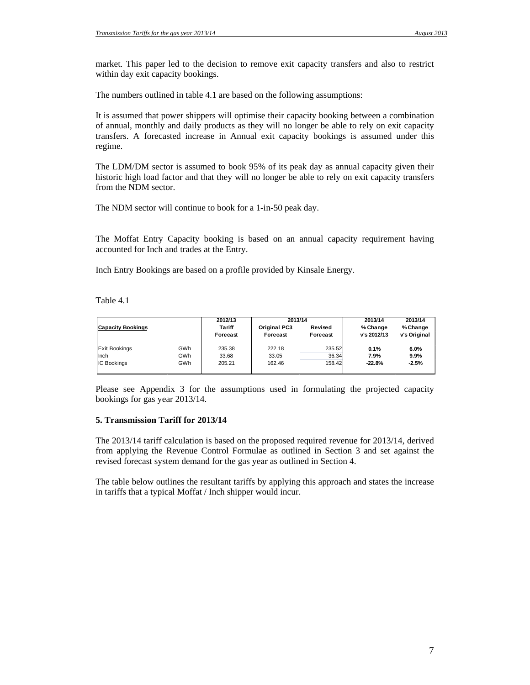market. This paper led to the decision to remove exit capacity transfers and also to restrict within day exit capacity bookings.

The numbers outlined in table 4.1 are based on the following assumptions:

It is assumed that power shippers will optimise their capacity booking between a combination of annual, monthly and daily products as they will no longer be able to rely on exit capacity transfers. A forecasted increase in Annual exit capacity bookings is assumed under this regime.

The LDM/DM sector is assumed to book 95% of its peak day as annual capacity given their historic high load factor and that they will no longer be able to rely on exit capacity transfers from the NDM sector.

The NDM sector will continue to book for a 1-in-50 peak day.

The Moffat Entry Capacity booking is based on an annual capacity requirement having accounted for Inch and trades at the Entry.

Inch Entry Bookings are based on a profile provided by Kinsale Energy.

Table 4.1

| <b>Capacity Bookings</b> |     | 2012/13<br><b>Tariff</b><br>Forecast | 2013/14<br><b>Original PC3</b><br>Forecast | Revised<br>Forecast | 2013/14<br>% Change<br>v's 2012/13 | 2013/14<br>% Change<br>v's Original |
|--------------------------|-----|--------------------------------------|--------------------------------------------|---------------------|------------------------------------|-------------------------------------|
| <b>Exit Bookings</b>     | GWh | 235.38                               | 222.18                                     | 235.52              | 0.1%                               | 6.0%                                |
| Inch                     | GWh | 33.68                                | 33.05                                      | 36.34               | 7.9%                               | 9.9%                                |
| <b>IC Bookings</b>       | GWh | 205.21                               | 162.46                                     | 158.42              | $-22.8%$                           | $-2.5%$                             |
|                          |     |                                      |                                            |                     |                                    |                                     |

Please see Appendix 3 for the assumptions used in formulating the projected capacity bookings for gas year 2013/14.

#### **5. Transmission Tariff for 2013/14**

The 2013/14 tariff calculation is based on the proposed required revenue for 2013/14, derived from applying the Revenue Control Formulae as outlined in Section 3 and set against the revised forecast system demand for the gas year as outlined in Section 4.

The table below outlines the resultant tariffs by applying this approach and states the increase in tariffs that a typical Moffat / Inch shipper would incur.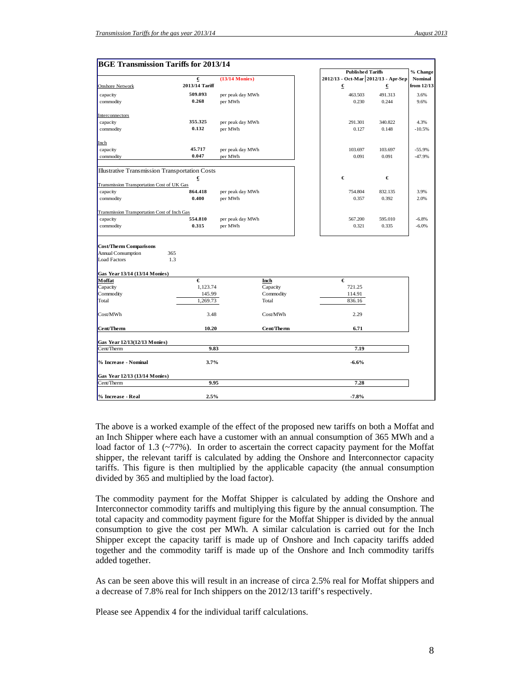| <b>BGE Transmission Tariffs for 2013/14</b>              |                |                  |            |                                     |         |                |
|----------------------------------------------------------|----------------|------------------|------------|-------------------------------------|---------|----------------|
|                                                          |                |                  |            | <b>Published Tariffs</b>            |         | % Change       |
|                                                          | €              | $(13/14$ Monies) |            | 2012/13 - Oct-Mar 2012/13 - Apr-Sep |         | <b>Nominal</b> |
| <b>Onshore Network</b>                                   | 2013/14 Tariff |                  |            | €                                   | €       | from 12/13     |
| capacity                                                 | 509.093        | per peak day MWh |            | 463.503                             | 491.313 | 3.6%           |
| commodity                                                | 0.268          | per MWh          |            | 0.230                               | 0.244   | 9.6%           |
|                                                          |                |                  |            |                                     |         |                |
| Interconnectors                                          |                |                  |            |                                     |         |                |
| capacity                                                 | 355.325        | per peak day MWh |            | 291.301                             | 340.822 | 4.3%           |
| commodity                                                | 0.132          | per MWh          |            | 0.127                               | 0.148   | $-10.5%$       |
|                                                          |                |                  |            |                                     |         |                |
| Inch                                                     |                |                  |            |                                     |         |                |
| capacity                                                 | 45.717         | per peak day MWh |            | 103.697                             | 103.697 | $-55.9%$       |
| commodity                                                | 0.047          | per MWh          |            | 0.091                               | 0.091   | $-47.9%$       |
|                                                          |                |                  |            |                                     |         |                |
| <b>Illustrative Transmission Transportation Costs</b>    |                |                  |            |                                     |         |                |
|                                                          | €              |                  |            | €                                   | €       |                |
| Transmission Transportation Cost of UK Gas               |                |                  |            |                                     |         |                |
| capacity                                                 | 864.418        | per peak day MWh |            | 754.804                             | 832.135 | 3.9%           |
| commodity                                                | 0.400          | per MWh          |            | 0.357                               | 0.392   | 2.0%           |
|                                                          |                |                  |            |                                     |         |                |
| Transmission Transportation Cost of Inch Gas<br>capacity | 554.810        | per peak day MWh |            | 567.200                             | 595.010 | $-6.8%$        |
| commodity                                                | 0.315          | per MWh          |            | 0.321                               | 0.335   | $-6.0%$        |
|                                                          |                |                  |            |                                     |         |                |
|                                                          |                |                  |            |                                     |         |                |
| <b>Cost/Therm Comparisons</b>                            |                |                  |            |                                     |         |                |
| <b>Annual Consumption</b>                                | 365            |                  |            |                                     |         |                |
| <b>Load Factors</b>                                      | 1.3            |                  |            |                                     |         |                |
|                                                          |                |                  |            |                                     |         |                |
| Gas Year 13/14 (13/14 Monies)                            |                |                  |            |                                     |         |                |
| Moffat                                                   | €              |                  | Inch       | €                                   |         |                |
| Capacity                                                 | 1,123.74       |                  | Capacity   | 721.25                              |         |                |
| Commodity                                                | 145.99         |                  | Commodity  | 114.91                              |         |                |
| Total                                                    | 1,269.73       |                  | Total      | 836.16                              |         |                |
|                                                          |                |                  |            |                                     |         |                |
| Cost/MWh                                                 | 3.48           |                  | Cost/MWh   | 2.29                                |         |                |
| Cent/Therm                                               | 10.20          |                  | Cent/Therm | 6.71                                |         |                |
|                                                          |                |                  |            |                                     |         |                |
| Gas Year 12/13(12/13 Monies)                             |                |                  |            |                                     |         |                |
| Cent/Therm                                               | 9.83           |                  |            | 7.19                                |         |                |
|                                                          |                |                  |            |                                     |         |                |
| % Increase - Nominal                                     | 3.7%           |                  |            | $-6.6%$                             |         |                |
|                                                          |                |                  |            |                                     |         |                |
| Gas Year 12/13 (13/14 Monies)                            |                |                  |            |                                     |         |                |
| Cent/Therm                                               | 9.95           |                  |            | 7.28                                |         |                |
|                                                          | 2.5%           |                  |            | $-7.8%$                             |         |                |
| % Increase - Real                                        |                |                  |            |                                     |         |                |

The above is a worked example of the effect of the proposed new tariffs on both a Moffat and an Inch Shipper where each have a customer with an annual consumption of 365 MWh and a load factor of 1.3 (~77%). In order to ascertain the correct capacity payment for the Moffat shipper, the relevant tariff is calculated by adding the Onshore and Interconnector capacity tariffs. This figure is then multiplied by the applicable capacity (the annual consumption divided by 365 and multiplied by the load factor).

The commodity payment for the Moffat Shipper is calculated by adding the Onshore and Interconnector commodity tariffs and multiplying this figure by the annual consumption. The total capacity and commodity payment figure for the Moffat Shipper is divided by the annual consumption to give the cost per MWh. A similar calculation is carried out for the Inch Shipper except the capacity tariff is made up of Onshore and Inch capacity tariffs added together and the commodity tariff is made up of the Onshore and Inch commodity tariffs added together.

As can be seen above this will result in an increase of circa 2.5% real for Moffat shippers and a decrease of 7.8% real for Inch shippers on the 2012/13 tariff's respectively.

Please see Appendix 4 for the individual tariff calculations.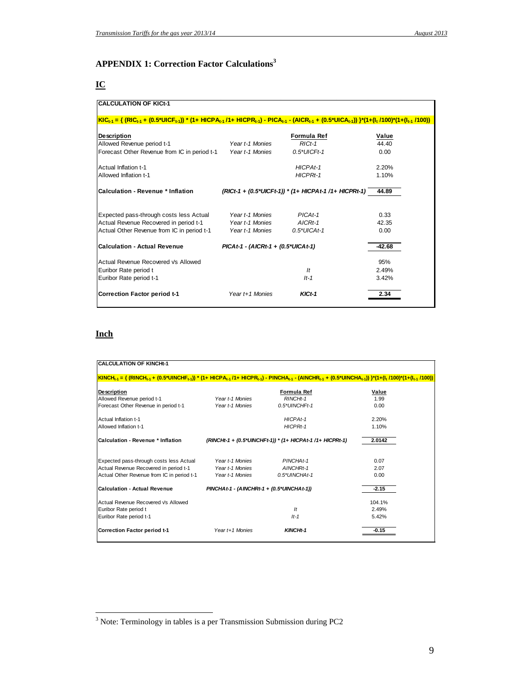## **APPENDIX 1: Correction Factor Calculations<sup>3</sup>**

# **IC**

| <b>CALCULATION OF KICt-1</b>                                                                                                                                                                                                                                |                                       |                                                       |          |
|-------------------------------------------------------------------------------------------------------------------------------------------------------------------------------------------------------------------------------------------------------------|---------------------------------------|-------------------------------------------------------|----------|
| <u> KIC<sub>t-1</sub> = { (RIC<sub>t-1</sub> + (0.5*UICF<sub>t-1</sub>)) * (1+ HICPA<sub>t-1</sub> /1+ HICPR<sub>t-1</sub>) - PICA<sub>t-1</sub> - (AICR<sub>t-1</sub> + (0.5*UICA<sub>t-1</sub>)) }*(1+(I<sub>t</sub> /100)*(1+(I<sub>t-1</sub> /100))</u> |                                       |                                                       |          |
| <b>Description</b>                                                                                                                                                                                                                                          |                                       | Formula Ref                                           | Value    |
| Allowed Revenue period t-1                                                                                                                                                                                                                                  | Year t-1 Monies                       | $RICt-1$                                              | 44.40    |
| Forecast Other Revenue from IC in period t-1                                                                                                                                                                                                                | Year t-1 Monies                       | $0.5*UICFt-1$                                         | 0.00     |
| Actual Inflation t-1                                                                                                                                                                                                                                        |                                       | HICPAt-1                                              | 2.20%    |
| Allowed Inflation t-1                                                                                                                                                                                                                                       |                                       | HICPRt-1                                              | 1.10%    |
| <b>Calculation - Revenue * Inflation</b>                                                                                                                                                                                                                    |                                       | (RICt-1 + (0.5*UICFt-1)) * (1+ HICPAt-1 /1+ HICPRt-1) | 44.89    |
| Expected pass-through costs less Actual                                                                                                                                                                                                                     | Year t-1 Monies                       | $PICAt-1$                                             | 0.33     |
| Actual Revenue Recovered in period t-1                                                                                                                                                                                                                      | Year t-1 Monies                       | $AICRt-1$                                             | 42.35    |
| Actual Other Revenue from IC in period t-1                                                                                                                                                                                                                  | Year t-1 Monies                       | $0.5*UICAt-1$                                         | 0.00     |
| <b>Calculation - Actual Revenue</b>                                                                                                                                                                                                                         | $PICAt-1 - (AICRt-1 + (0.5*UICAt-1))$ |                                                       | $-42.68$ |
| Actual Revenue Recovered Vs Allowed                                                                                                                                                                                                                         |                                       |                                                       | 95%      |
| Euribor Rate period t                                                                                                                                                                                                                                       |                                       | $\mathcal{H}$                                         | 2.49%    |
| Euribor Rate period t-1                                                                                                                                                                                                                                     |                                       | $It-1$                                                | 3.42%    |
| <b>Correction Factor period t-1</b>                                                                                                                                                                                                                         | Year t+1 Monies                       | $KICt-1$                                              | 2.34     |

# **Inch**

| <b>CALCULATION OF KINCHt-1</b>                                                                                                                                                             |                                             |                                                           |         |
|--------------------------------------------------------------------------------------------------------------------------------------------------------------------------------------------|---------------------------------------------|-----------------------------------------------------------|---------|
|                                                                                                                                                                                            |                                             |                                                           |         |
| $ KINCH_{k-1} = \{ (RINCH_{k-1} + (0.5^*UINCHF_{k-1}))^* (1 + HICPA_{k-1}/1 + HICPR_{k-1}) - PINCHA_{k-1} - (AINCHR_{k-1} + (0.5^*UINCHA_{k-1})) \}^*(1 + (l_1/100)^*(1 + (l_{k-1}/100)))$ |                                             |                                                           |         |
|                                                                                                                                                                                            |                                             |                                                           |         |
| Description                                                                                                                                                                                |                                             | Formula Ref                                               | Value   |
| Allowed Revenue period t-1                                                                                                                                                                 | Year t-1 Monies                             | RINCHt-1                                                  | 1.99    |
| Forecast Other Revenue in period t-1                                                                                                                                                       | Year t-1 Monies                             | 0.5*UINCHFt-1                                             | 0.00    |
| Actual Inflation t-1                                                                                                                                                                       |                                             | HICPAt-1                                                  | 2.20%   |
| Allowed Inflation t-1                                                                                                                                                                      |                                             | HICPRt-1                                                  | 1.10%   |
| Calculation - Revenue * Inflation                                                                                                                                                          |                                             | (RINCHt-1 + (0.5*UINCHFt-1)) * (1+ HICPAt-1 /1+ HICPRt-1) | 2.0142  |
| Expected pass-through costs less Actual                                                                                                                                                    | Year t-1 Monies                             | PINCHAt-1                                                 | 0.07    |
| Actual Revenue Recovered in period t-1                                                                                                                                                     | Year t-1 Monies                             | AINCHRt-1                                                 | 2.07    |
| Actual Other Revenue from IC in period t-1                                                                                                                                                 | Year t-1 Monies                             | 0.5*UINCHAt-1                                             | 0.00    |
| <b>Calculation - Actual Revenue</b>                                                                                                                                                        | $PINCHAt-1 - (AINCHRt-1 + (0.5*UINCHAt-1))$ |                                                           | $-2.15$ |
| Actual Revenue Recovered Vs Allowed                                                                                                                                                        |                                             |                                                           | 104.1%  |
| Euribor Rate period t                                                                                                                                                                      |                                             | It                                                        | 2.49%   |
| Euribor Rate period t-1                                                                                                                                                                    |                                             | $It-1$                                                    | 5.42%   |
| <b>Correction Factor period t-1</b>                                                                                                                                                        | Year t+1 Monies                             | KINCHt-1                                                  | $-0.15$ |

<sup>&</sup>lt;sup>3</sup><br>Note: Terminology in tables is a per Transmission Submission during PC2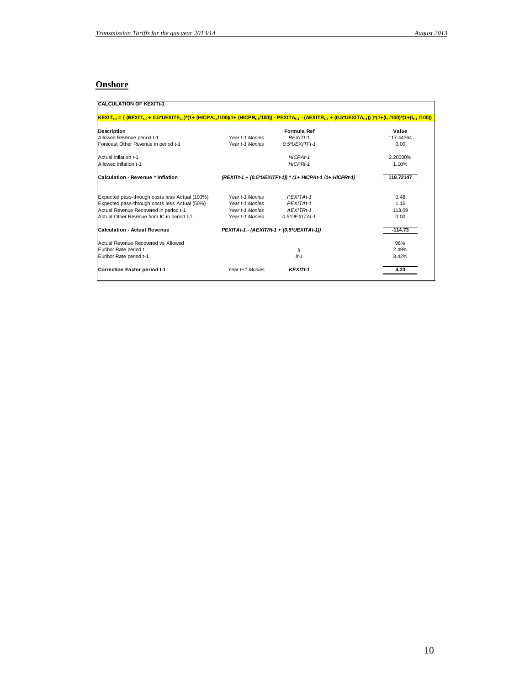# **Onshore**

| $KEXIT_{t-1} = \{ (REXIT_{t-1} + 0.5^*UEXITF_{t-1})^*(1 + (HICPA_{t-1}/100)/1 + (HICPR_{t-1}/100)) - PEXITA_{t-1} - (AEXITR_{t-1} + (0.5^*UEXITA_{t-1})) \}^*(1 + (I_t/100)^*(1 + (I_{t-1}/100)))$ |                                           |                                                           |           |
|----------------------------------------------------------------------------------------------------------------------------------------------------------------------------------------------------|-------------------------------------------|-----------------------------------------------------------|-----------|
| <b>Description</b>                                                                                                                                                                                 |                                           | Formula Ref                                               | Value     |
| Allowed Revenue period t-1                                                                                                                                                                         | Year t-1 Monies                           | REXIT <sub>t-1</sub>                                      | 117.44364 |
| Forecast Other Revenue in period t-1                                                                                                                                                               | Year t-1 Monies                           | $0.5$ *UEXITFt-1                                          | 0.00      |
| Actual Inflation t-1                                                                                                                                                                               |                                           | HICPAt-1                                                  | 2.20000%  |
| Allowed Inflation t-1                                                                                                                                                                              |                                           | HICPRt-1                                                  | 1.10%     |
| Calculation - Revenue * Inflation                                                                                                                                                                  |                                           | (REXITt-1 + (0.5*UEXITFt-1)) * (1+ HICPAt-1 /1+ HICPRt-1) | 118.72147 |
| Expected pass-through costs less Actual (100%)                                                                                                                                                     | Year t-1 Monies                           | PEXITAt-1                                                 | 0.48      |
| Expected pass-through costs less Actual (50%)                                                                                                                                                      | Year t-1 Monies                           | PEXITAt-1                                                 | 1.16      |
| Actual Revenue Recovered in period t-1                                                                                                                                                             | Year t-1 Monies                           | AEXITRt-1                                                 | 113.09    |
| Actual Other Revenue from IC in period t-1                                                                                                                                                         | Year t-1 Monies                           | $0.5*UEXITAt-1$                                           | 0.00      |
| <b>Calculation - Actual Revenue</b>                                                                                                                                                                | PEXITAt-1 - (AEXITRt-1 + (0.5*UEXITAt-1)) |                                                           | $-114.73$ |
| Actual Revenue Recovered Vs Allowed                                                                                                                                                                |                                           |                                                           | 96%       |
| Euribor Rate period t                                                                                                                                                                              |                                           | $\vert t \vert$                                           | 2.49%     |
| Euribor Rate period t-1                                                                                                                                                                            |                                           | $It-1$                                                    | 3.42%     |
| Correction Factor period t-1                                                                                                                                                                       | Year t+1 Monies                           | <b>KEXITt-1</b>                                           | 4.23      |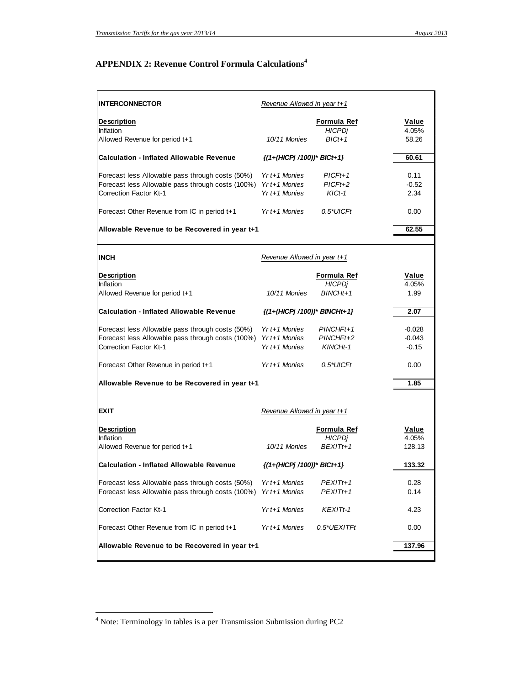# **APPENDIX 2: Revenue Control Formula Calculations<sup>4</sup>**

| <b>INTERCONNECTOR</b>                                           | Revenue Allowed in year t+1           |                 |          |
|-----------------------------------------------------------------|---------------------------------------|-----------------|----------|
| <b>Description</b>                                              |                                       | Formula Ref     | Value    |
| Inflation                                                       |                                       | <b>HICPDi</b>   | 4.05%    |
| Allowed Revenue for period t+1                                  | 10/11 Monies                          | $BICt+1$        | 58.26    |
| <b>Calculation - Inflated Allowable Revenue</b>                 | $\{(1+(HICPj/100))^* \text{BICt+1}\}$ |                 | 60.61    |
| Forecast less Allowable pass through costs (50%)                | $Yr t + 1$ Monies                     | $PICFt+1$       | 0.11     |
| Forecast less Allowable pass through costs (100%) Yr t+1 Monies |                                       | $PICFt+2$       | $-0.52$  |
| <b>Correction Factor Kt-1</b>                                   | $Yr t + 1$ Monies                     | $KICt-1$        | 2.34     |
| Forecast Other Revenue from IC in period t+1                    | $Yr t + 1$ Monies                     | $0.5^*$ UICFt   | 0.00     |
| Allowable Revenue to be Recovered in year t+1                   |                                       |                 | 62.55    |
|                                                                 |                                       |                 |          |
| <b>INCH</b>                                                     | Revenue Allowed in year t+1           |                 |          |
| <b>Description</b>                                              |                                       | Formula Ref     | Value    |
| Inflation                                                       |                                       | <b>HICPDi</b>   | 4.05%    |
| Allowed Revenue for period t+1                                  | 10/11 Monies                          | $BINCHt+1$      | 1.99     |
| <b>Calculation - Inflated Allowable Revenue</b>                 | $\{(1+(HICPj/100))^*$ BINCHt+1}       |                 | 2.07     |
| Forecast less Allowable pass through costs (50%)                | $Yr$ t+1 Monies                       | $PINCHFit+1$    | $-0.028$ |
| Forecast less Allowable pass through costs (100%) Yr t+1 Monies |                                       | PINCHFt+2       | $-0.043$ |
| <b>Correction Factor Kt-1</b>                                   | $Yr t + 1$ Monies                     | KINCHt-1        | $-0.15$  |
|                                                                 |                                       |                 |          |
| Forecast Other Revenue in period t+1                            | $Yr$ t+1 Monies                       | $0.5^*$ UICFt   | 0.00     |
| Allowable Revenue to be Recovered in year t+1                   |                                       |                 | 1.85     |
|                                                                 |                                       |                 |          |
| <b>EXIT</b>                                                     | Revenue Allowed in year t+1           |                 |          |
| <b>Description</b>                                              |                                       | Formula Ref     | Value    |
| Inflation                                                       |                                       | <b>HICPDi</b>   | 4.05%    |
| Allowed Revenue for period t+1                                  | 10/11 Monies                          | $BFXITt+1$      | 128.13   |
| <b>Calculation - Inflated Allowable Revenue</b>                 | {(1+(HICPj /100))* BICt+1}            |                 | 133.32   |
| Forecast less Allowable pass through costs (50%)                | Yr t+1 Monies                         | PEXITt+1        | 0.28     |
| Forecast less Allowable pass through costs (100%)               | Yr t+1 Monies                         | PEXITt+1        | 0.14     |
| <b>Correction Factor Kt-1</b>                                   | Yr t+1 Monies                         | <b>KEXITt-1</b> | 4.23     |
| Forecast Other Revenue from IC in period t+1                    | Yr t+1 Monies                         | 0.5*UEXITFt     | 0.00     |
| Allowable Revenue to be Recovered in year t+1                   |                                       |                 | 137.96   |
|                                                                 |                                       |                 |          |

 4 Note: Terminology in tables is a per Transmission Submission during PC2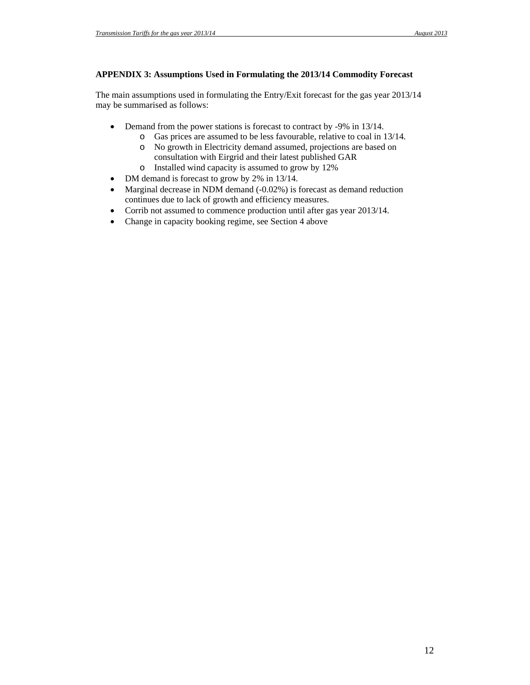## **APPENDIX 3: Assumptions Used in Formulating the 2013/14 Commodity Forecast**

The main assumptions used in formulating the Entry/Exit forecast for the gas year 2013/14 may be summarised as follows:

- Demand from the power stations is forecast to contract by -9% in 13/14.
	- o Gas prices are assumed to be less favourable, relative to coal in 13/14.
	- o No growth in Electricity demand assumed, projections are based on consultation with Eirgrid and their latest published GAR
	- o Installed wind capacity is assumed to grow by 12%
- DM demand is forecast to grow by 2% in 13/14.
- Marginal decrease in NDM demand (-0.02%) is forecast as demand reduction continues due to lack of growth and efficiency measures.
- Corrib not assumed to commence production until after gas year 2013/14.
- Change in capacity booking regime, see Section 4 above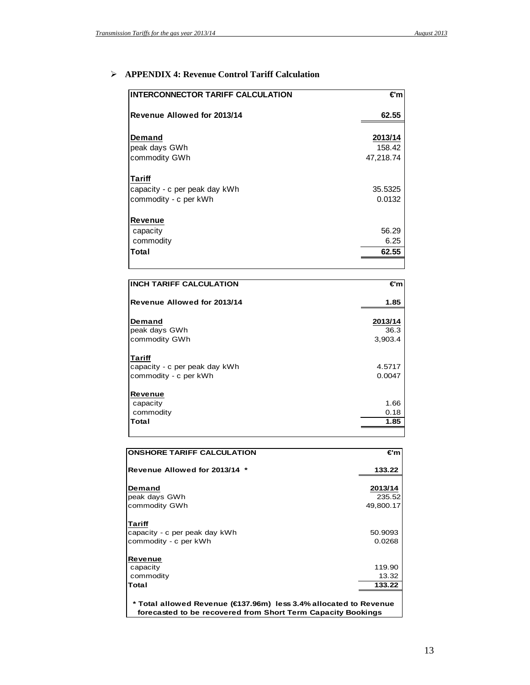# **APPENDIX 4: Revenue Control Tariff Calculation**

| <b>INTERCONNECTOR TARIFF CALCULATION</b> | €m        |
|------------------------------------------|-----------|
| Revenue Allowed for 2013/14              | 62.55     |
|                                          | 2013/14   |
| Demand                                   |           |
| peak days GWh                            | 158.42    |
| commodity GWh                            | 47,218.74 |
| Tariff                                   |           |
| capacity - c per peak day kWh            | 35.5325   |
| commodity - c per kWh                    | 0.0132    |
| Revenue                                  |           |
| capacity                                 | 56.29     |
| commodity                                | 6.25      |
| Total                                    | 62.55     |
|                                          |           |
| <b>INCH TARIFF CALCULATION</b>           | €m        |

| INCH TARIFF CALCULATION       | €m      |
|-------------------------------|---------|
| Revenue Allowed for 2013/14   | 1.85    |
| Demand                        | 2013/14 |
| peak days GWh                 | 36.3    |
| commodity GWh                 | 3,903.4 |
| <b>Tariff</b>                 |         |
| capacity - c per peak day kWh | 4.5717  |
| commodity - c per kWh         | 0.0047  |
| Revenue                       |         |
| capacity                      | 1.66    |
| commodity                     | 0.18    |
| Total                         | 1.85    |
|                               |         |

| <b>ONSHORE TARIFF CALCULATION</b>                                 | €m        |  |
|-------------------------------------------------------------------|-----------|--|
| Revenue Allowed for 2013/14 *                                     | 133.22    |  |
| Demand                                                            | 2013/14   |  |
| peak days GWh                                                     | 235.52    |  |
| commodity GWh                                                     | 49,800.17 |  |
| Tariff                                                            |           |  |
| capacity - c per peak day kWh                                     | 50.9093   |  |
| commodity - c per kWh                                             | 0.0268    |  |
| Revenue                                                           |           |  |
| capacity                                                          | 119.90    |  |
| commodity                                                         | 13.32     |  |
| Total                                                             | 133.22    |  |
|                                                                   |           |  |
| * Total allowed Revenue (€137.96m) less 3.4% allocated to Revenue |           |  |
| forecasted to be recovered from Short Term Capacity Bookings      |           |  |